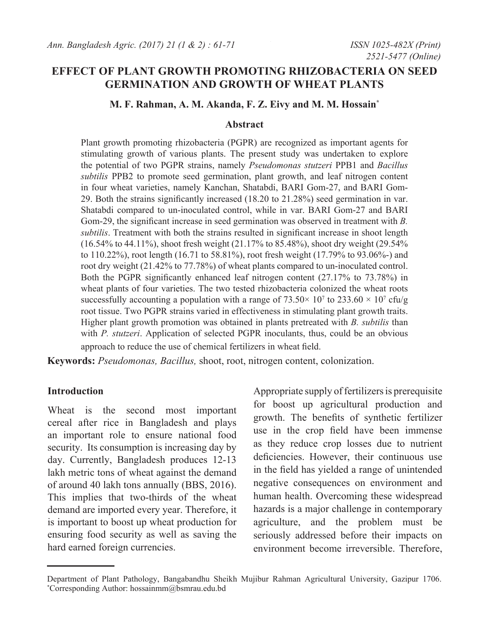# **EFFECT OF PLANT GROWTH PROMOTING RHIZOBACTERIA ON SEED GERMINATION AND GROWTH OF WHEAT PLANTS**

### **M. F. Rahman, A. M. Akanda, F. Z. Eivy and M. M. Hossain\***

#### **Abstract**

Plant growth promoting rhizobacteria (PGPR) are recognized as important agents for stimulating growth of various plants. The present study was undertaken to explore the potential of two PGPR strains, namely *Pseudomonas stutzeri* PPB1 and *Bacillus subtilis* PPB2 to promote seed germination, plant growth, and leaf nitrogen content in four wheat varieties, namely Kanchan, Shatabdi, BARI Gom-27, and BARI Gom-29. Both the strains significantly increased (18.20 to 21.28%) seed germination in var. Shatabdi compared to un-inoculated control, while in var. BARI Gom-27 and BARI Gom-29, the significant increase in seed germination was observed in treatment with *B. subtilis*. Treatment with both the strains resulted in significant increase in shoot length (16.54% to 44.11%), shoot fresh weight (21.17% to 85.48%), shoot dry weight (29.54% to 110.22%), root length (16.71 to 58.81%), root fresh weight (17.79% to 93.06%-) and root dry weight (21.42% to 77.78%) of wheat plants compared to un-inoculated control. Both the PGPR significantly enhanced leaf nitrogen content (27.17% to 73.78%) in wheat plants of four varieties. The two tested rhizobacteria colonized the wheat roots successfully accounting a population with a range of  $73.50 \times 10^7$  to  $233.60 \times 10^7$  cfu/g root tissue. Two PGPR strains varied in effectiveness in stimulating plant growth traits. Higher plant growth promotion was obtained in plants pretreated with *B. subtilis* than with *P. stutzeri*. Application of selected PGPR inoculants, thus, could be an obvious approach to reduce the use of chemical fertilizers in wheat field.

**Keywords:** *Pseudomonas, Bacillus,* shoot, root, nitrogen content, colonization.

#### **Introduction**

Wheat is the second most important cereal after rice in Bangladesh and plays an important role to ensure national food security. Its consumption is increasing day by day. Currently, Bangladesh produces 12-13 lakh metric tons of wheat against the demand of around 40 lakh tons annually (BBS, 2016). This implies that two-thirds of the wheat demand are imported every year. Therefore, it is important to boost up wheat production for ensuring food security as well as saving the hard earned foreign currencies.

Appropriate supply of fertilizers is prerequisite for boost up agricultural production and growth. The benefits of synthetic fertilizer use in the crop field have been immense as they reduce crop losses due to nutrient deficiencies. However, their continuous use in the field has yielded a range of unintended negative consequences on environment and human health. Overcoming these widespread hazards is a major challenge in contemporary agriculture, and the problem must be seriously addressed before their impacts on environment become irreversible. Therefore,

Department of Plant Pathology, Bangabandhu Sheikh Mujibur Rahman Agricultural University, Gazipur 1706. \* Corresponding Author: hossainmm@bsmrau.edu.bd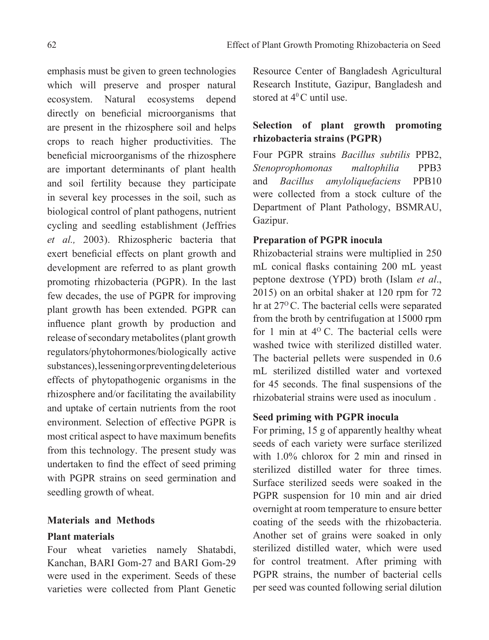emphasis must be given to green technologies which will preserve and prosper natural ecosystem. Natural ecosystems depend directly on beneficial microorganisms that are present in the rhizosphere soil and helps crops to reach higher productivities. The beneficial microorganisms of the rhizosphere are important determinants of plant health and soil fertility because they participate in several key processes in the soil, such as biological control of plant pathogens, nutrient cycling and seedling establishment (Jeffries *et al.,* 2003). Rhizospheric bacteria that exert beneficial effects on plant growth and development are referred to as plant growth promoting rhizobacteria (PGPR). In the last few decades, the use of PGPR for improving plant growth has been extended. PGPR can influence plant growth by production and release of secondary metabolites (plant growth regulators/phytohormones/biologically active substances), lessening or preventing deleterious effects of phytopathogenic organisms in the rhizosphere and/or facilitating the availability and uptake of certain nutrients from the root environment. Selection of effective PGPR is most critical aspect to have maximum benefits from this technology. The present study was undertaken to find the effect of seed priming with PGPR strains on seed germination and seedling growth of wheat.

## **Materials and Methods**

### **Plant materials**

Four wheat varieties namely Shatabdi, Kanchan, BARI Gom-27 and BARI Gom-29 were used in the experiment. Seeds of these varieties were collected from Plant Genetic Resource Center of Bangladesh Agricultural Research Institute, Gazipur, Bangladesh and stored at  $4^{\circ}$ C until use.

# **Selection of plant growth promoting rhizobacteria strains (PGPR)**

Four PGPR strains *Bacillus subtilis* PPB2, *Stenoprophomonas maltophilia* PPB3 and *Bacillus amyloliquefaciens* PPB10 were collected from a stock culture of the Department of Plant Pathology, BSMRAU, Gazipur.

### **Preparation of PGPR inocula**

Rhizobacterial strains were multiplied in 250 mL conical flasks containing 200 mL yeast peptone dextrose (YPD) broth (Islam *et al*., 2015) on an orbital shaker at 120 rpm for 72 hr at 27<sup>o</sup>C. The bacterial cells were separated from the broth by centrifugation at 15000 rpm for 1 min at  $4^{\circ}$  C. The bacterial cells were washed twice with sterilized distilled water. The bacterial pellets were suspended in 0.6 mL sterilized distilled water and vortexed for 45 seconds. The final suspensions of the rhizobaterial strains were used as inoculum .

### **Seed priming with PGPR inocula**

For priming, 15 g of apparently healthy wheat seeds of each variety were surface sterilized with 1.0% chlorox for 2 min and rinsed in sterilized distilled water for three times. Surface sterilized seeds were soaked in the PGPR suspension for 10 min and air dried overnight at room temperature to ensure better coating of the seeds with the rhizobacteria. Another set of grains were soaked in only sterilized distilled water, which were used for control treatment. After priming with PGPR strains, the number of bacterial cells per seed was counted following serial dilution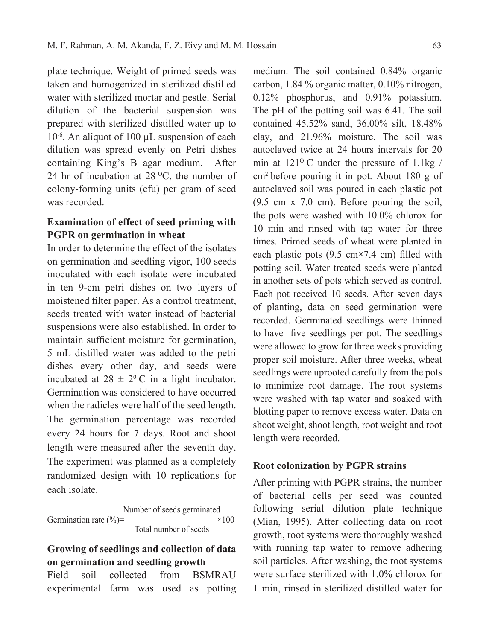plate technique. Weight of primed seeds was taken and homogenized in sterilized distilled water with sterilized mortar and pestle. Serial dilution of the bacterial suspension was prepared with sterilized distilled water up to 10-6. An aliquot of 100 µL suspension of each dilution was spread evenly on Petri dishes containing King's B agar medium. After 24 hr of incubation at  $28\,^{\circ}$ C, the number of colony-forming units (cfu) per gram of seed was recorded.

## **Examination of effect of seed priming with PGPR on germination in wheat**

In order to determine the effect of the isolates on germination and seedling vigor, 100 seeds inoculated with each isolate were incubated in ten 9-cm petri dishes on two layers of moistened filter paper. As a control treatment, seeds treated with water instead of bacterial suspensions were also established. In order to maintain sufficient moisture for germination, 5 mL distilled water was added to the petri dishes every other day, and seeds were incubated at  $28 \pm 2^0$  C in a light incubator. Germination was considered to have occurred when the radicles were half of the seed length. The germination percentage was recorded every 24 hours for 7 days. Root and shoot length were measured after the seventh day. The experiment was planned as a completely randomized design with 10 replications for each isolate.

Number of seeds germinated  
Germanation rate (
$$
\degree
$$
)=  
Total number of seeds<sup>100</sup>

# **Growing of seedlings and collection of data on germination and seedling growth**

Field soil collected from BSMRAU experimental farm was used as potting

medium. The soil contained 0.84% organic carbon, 1.84 % organic matter, 0.10% nitrogen, 0.12% phosphorus, and 0.91% potassium. The pH of the potting soil was 6.41. The soil contained 45.52% sand, 36.00% silt, 18.48% clay, and 21.96% moisture. The soil was autoclaved twice at 24 hours intervals for 20 min at  $121^{\circ}$  C under the pressure of  $1.1$ kg / cm2 before pouring it in pot. About 180 g of autoclaved soil was poured in each plastic pot (9.5 cm x 7.0 cm). Before pouring the soil, the pots were washed with 10.0% chlorox for 10 min and rinsed with tap water for three times. Primed seeds of wheat were planted in each plastic pots (9.5 cm**×**7.4 cm) filled with potting soil. Water treated seeds were planted in another sets of pots which served as control. Each pot received 10 seeds. After seven days of planting, data on seed germination were recorded. Germinated seedlings were thinned to have five seedlings per pot. The seedlings were allowed to grow for three weeks providing proper soil moisture. After three weeks, wheat seedlings were uprooted carefully from the pots to minimize root damage. The root systems were washed with tap water and soaked with blotting paper to remove excess water. Data on shoot weight, shoot length, root weight and root length were recorded.

#### **Root colonization by PGPR strains**

After priming with PGPR strains, the number of bacterial cells per seed was counted following serial dilution plate technique (Mian, 1995). After collecting data on root growth, root systems were thoroughly washed with running tap water to remove adhering soil particles. After washing, the root systems were surface sterilized with 1.0% chlorox for 1 min, rinsed in sterilized distilled water for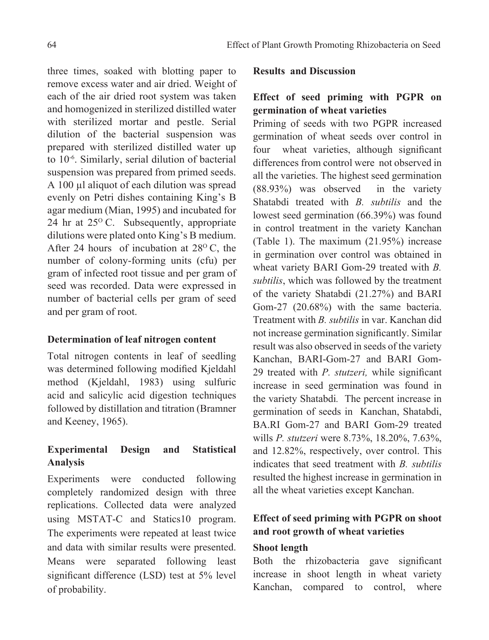three times, soaked with blotting paper to remove excess water and air dried. Weight of each of the air dried root system was taken and homogenized in sterilized distilled water with sterilized mortar and pestle. Serial dilution of the bacterial suspension was prepared with sterilized distilled water up to 10-6. Similarly, serial dilution of bacterial suspension was prepared from primed seeds. A 100 µl aliquot of each dilution was spread evenly on Petri dishes containing King's B agar medium (Mian, 1995) and incubated for 24 hr at  $25^{\circ}$  C. Subsequently, appropriate dilutions were plated onto King's B medium. After 24 hours of incubation at  $28^{\circ}$  C, the number of colony-forming units (cfu) per gram of infected root tissue and per gram of seed was recorded. Data were expressed in number of bacterial cells per gram of seed and per gram of root.

## **Determination of leaf nitrogen content**

Total nitrogen contents in leaf of seedling was determined following modified Kjeldahl method (Kjeldahl, 1983) using sulfuric acid and salicylic acid digestion techniques followed by distillation and titration (Bramner and Keeney, 1965).

# **Experimental Design and Statistical Analysis**

Experiments were conducted following completely randomized design with three replications. Collected data were analyzed using MSTAT-C and Statics10 program. The experiments were repeated at least twice and data with similar results were presented. Means were separated following least significant difference (LSD) test at 5% level of probability.

### **Results and Discussion**

# **Effect of seed priming with PGPR on germination of wheat varieties**

Priming of seeds with two PGPR increased germination of wheat seeds over control in four wheat varieties, although significant differences from control were not observed in all the varieties. The highest seed germination (88.93%) was observed in the variety Shatabdi treated with *B. subtilis* and the lowest seed germination (66.39%) was found in control treatment in the variety Kanchan (Table 1). The maximum (21.95%) increase in germination over control was obtained in wheat variety BARI Gom-29 treated with *B. subtilis*, which was followed by the treatment of the variety Shatabdi (21.27%) and BARI Gom-27 (20.68%) with the same bacteria. Treatment with *B. subtilis* in var. Kanchan did not increase germination significantly. Similar result was also observed in seeds of the variety Kanchan, BARI-Gom-27 and BARI Gom-29 treated with *P. stutzeri,* while significant increase in seed germination was found in the variety Shatabdi*.* The percent increase in germination of seeds in Kanchan, Shatabdi, BA.RI Gom-27 and BARI Gom-29 treated wills *P. stutzeri* were 8.73%, 18.20%, 7.63%, and 12.82%, respectively, over control. This indicates that seed treatment with *B. subtilis* resulted the highest increase in germination in all the wheat varieties except Kanchan.

# **Effect of seed priming with PGPR on shoot and root growth of wheat varieties**

### **Shoot length**

Both the rhizobacteria gave significant increase in shoot length in wheat variety Kanchan, compared to control, where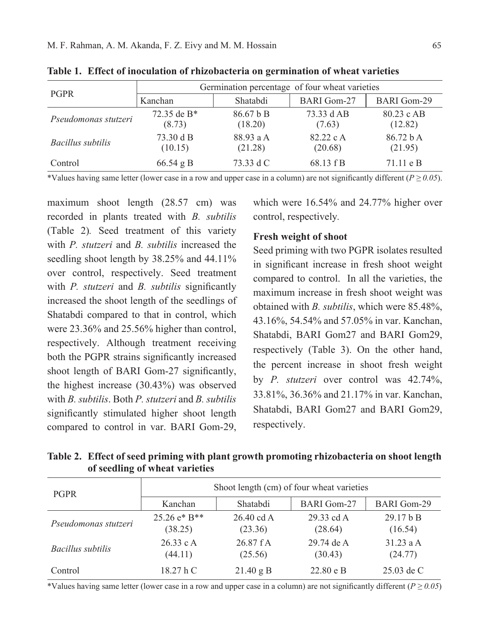| <b>PGPR</b>          | Germination percentage of four wheat varieties |                      |                      |                       |  |
|----------------------|------------------------------------------------|----------------------|----------------------|-----------------------|--|
|                      | Kanchan                                        | Shatabdi             | <b>BARI</b> Gom-27   | <b>BARI</b> Gom-29    |  |
| Pseudomonas stutzeri | 72.35 de $B^*$<br>(8.73)                       | 86.67 b B<br>(18.20) | 73.33 d AB<br>(7.63) | 80.23 c AB<br>(12.82) |  |
| Bacillus subtilis    | 73.30 d B<br>(10.15)                           | 88.93 a A<br>(21.28) | 82.22 c A<br>(20.68) | 86.72 hA<br>(21.95)   |  |
| Control              | $66.54$ g B                                    | 73.33 d C            | 68.13 f B            | $71.11 \text{ e } B$  |  |

**Table 1. Effect of inoculation of rhizobacteria on germination of wheat varieties**

\*Values having same letter (lower case in a row and upper case in a column) are not significantly different ( $P \ge 0.05$ ).

maximum shoot length (28.57 cm) was recorded in plants treated with *B. subtilis* (Table 2)*.* Seed treatment of this variety with *P. stutzeri* and *B. subtilis* increased the seedling shoot length by 38.25% and 44.11% over control, respectively. Seed treatment with *P. stutzeri* and *B. subtilis* significantly increased the shoot length of the seedlings of Shatabdi compared to that in control, which were 23.36% and 25.56% higher than control, respectively. Although treatment receiving both the PGPR strains significantly increased shoot length of BARI Gom-27 significantly, the highest increase (30.43%) was observed with *B. subtilis*. Both *P. stutzeri* and *B. subtilis*  significantly stimulated higher shoot length compared to control in var. BARI Gom-29, which were 16.54% and 24.77% higher over control, respectively*.*

#### **Fresh weight of shoot**

Seed priming with two PGPR isolates resulted in significant increase in fresh shoot weight compared to control. In all the varieties, the maximum increase in fresh shoot weight was obtained with *B. subtilis*, which were 85.48%, 43.16%, 54.54% and 57.05% in var. Kanchan, Shatabdi, BARI Gom27 and BARI Gom29, respectively (Table 3). On the other hand, the percent increase in shoot fresh weight by *P. stutzeri* over control was 42.74%, 33.81%, 36.36% and 21.17% in var. Kanchan, Shatabdi, BARI Gom27 and BARI Gom29, respectively.

**Table 2. Effect of seed priming with plant growth promoting rhizobacteria on shoot length of seedling of wheat varieties**

| <b>PGPR</b>          | Shoot length (cm) of four wheat varieties |                                  |                             |                        |
|----------------------|-------------------------------------------|----------------------------------|-----------------------------|------------------------|
|                      | Kanchan                                   | Shatabdi                         | <b>BARI</b> Gom-27          | <b>BARI</b> Gom-29     |
| Pseudomonas stutzeri | $25.26 e* B**$<br>(38.25)                 | $26.40 \text{ cd } A$<br>(23.36) | 29.33 cd A<br>(28.64)       | 29.17 h B<br>(16.54)   |
| Bacillus subtilis    | 26.33 c A<br>(44.11)                      | 26.87 fA<br>(25.56)              | 29.74 de A<br>(30.43)       | 31.23 a $A$<br>(24.77) |
| Control              | 18.27 hC                                  | $21.40 \text{ g B}$              | $22.80 \text{ e } \text{B}$ | $25.03$ de C           |

\*Values having same letter (lower case in a row and upper case in a column) are not significantly different (*P ≥ 0.05*)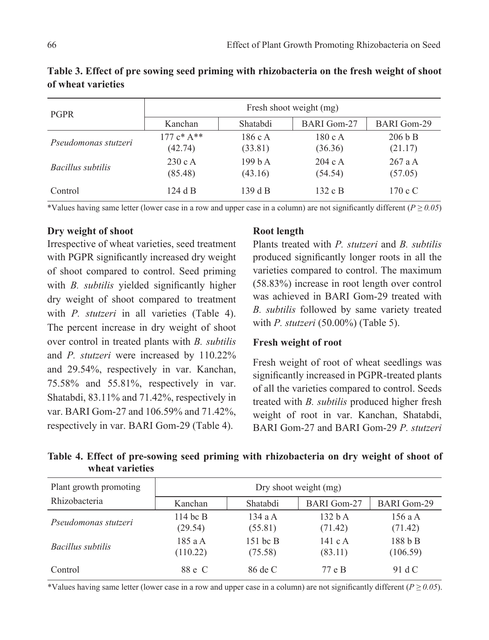| <b>PGPR</b>          | Fresh shoot weight (mg) |                  |                    |                    |
|----------------------|-------------------------|------------------|--------------------|--------------------|
|                      | Kanchan                 | Shatabdi         | <b>BARI</b> Gom-27 | <b>BARI</b> Gom-29 |
| Pseudomonas stutzeri | $177c* A**$<br>(42.74)  | 186cA<br>(33.81) | 180cA<br>(36.36)   | 206 b B<br>(21.17) |
| Bacillus subtilis    | 230cA<br>(85.48)        | 199hA<br>(43.16) | 204cA<br>(54.54)   | 267aA<br>(57.05)   |
| Control              | 124 d B                 | 139 d B          | 132 c $B$          | $170 \text{ c C}$  |

**Table 3. Effect of pre sowing seed priming with rhizobacteria on the fresh weight of shoot of wheat varieties**

\*Values having same letter (lower case in a row and upper case in a column) are not significantly different (*P ≥ 0.05*)

### **Dry weight of shoot**

Irrespective of wheat varieties, seed treatment with PGPR significantly increased dry weight of shoot compared to control. Seed priming with *B. subtilis* yielded significantly higher dry weight of shoot compared to treatment with *P. stutzeri* in all varieties (Table 4). The percent increase in dry weight of shoot over control in treated plants with *B. subtilis* and *P. stutzeri* were increased by 110.22% and 29.54%, respectively in var. Kanchan, 75.58% and 55.81%, respectively in var. Shatabdi, 83.11% and 71.42%, respectively in var. BARI Gom-27 and 106.59% and 71.42%, respectively in var. BARI Gom-29 (Table 4).

### **Root length**

Plants treated with *P. stutzeri* and *B. subtilis* produced significantly longer roots in all the varieties compared to control. The maximum (58.83%) increase in root length over control was achieved in BARI Gom-29 treated with *B. subtilis* followed by same variety treated with *P. stutzeri* (50.00%) (Table 5).

### **Fresh weight of root**

Fresh weight of root of wheat seedlings was significantly increased in PGPR-treated plants of all the varieties compared to control. Seeds treated with *B. subtilis* produced higher fresh weight of root in var. Kanchan, Shatabdi, BARI Gom-27 and BARI Gom-29 *P. stutzeri*

**Table 4. Effect of pre-sowing seed priming with rhizobacteria on dry weight of shoot of wheat varieties**

| Plant growth promoting   | Dry shoot weight (mg) |                       |                          |                     |
|--------------------------|-----------------------|-----------------------|--------------------------|---------------------|
| Rhizobacteria            | Kanchan               | Shatabdi              | <b>BARI</b> Gom-27       | <b>BARI</b> Gom-29  |
| Pseudomonas stutzeri     | 114 bc $B$<br>(29.54) | 134 a $A$<br>(55.81)  | 132hA<br>(71.42)         | 156 a A<br>(71.42)  |
| <i>Bacillus subtilis</i> | 185 a A<br>(110.22)   | $151$ bc B<br>(75.58) | 141 c $\land$<br>(83.11) | 188 b B<br>(106.59) |
| Control                  | 88 e C                | 86 de C               | 77 e B                   | 91 d C              |

\*Values having same letter (lower case in a row and upper case in a column) are not significantly different ( $P \ge 0.05$ ).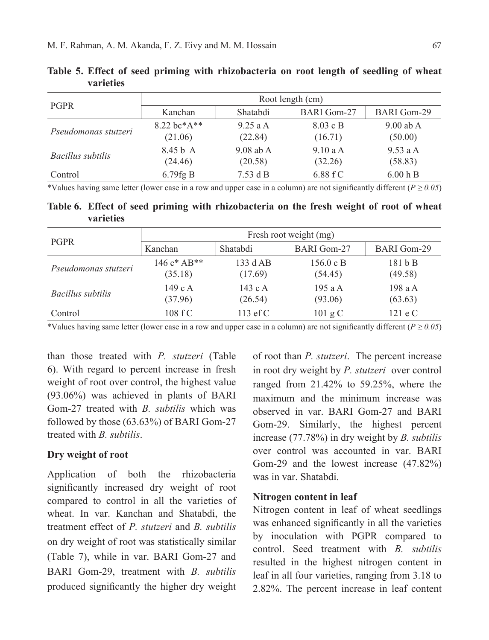| <b>PGPR</b>          | Root length (cm)               |                        |                                       |                        |
|----------------------|--------------------------------|------------------------|---------------------------------------|------------------------|
|                      | Kanchan                        | Shatabdi               | <b>BARI</b> Gom-27                    | <b>BARI</b> Gom-29     |
| Pseudomonas stutzeri | $8.22$ bc*A**<br>(21.06)       | $9.25$ a A<br>(22.84)  | $8.03 \text{ c} \text{ B}$<br>(16.71) | $9.00$ ab A<br>(50.00) |
| Bacillus subtilis    | 8.45 <sub>b</sub> A<br>(24.46) | $9.08$ ab A<br>(20.58) | 9.10aA<br>(32.26)                     | 9.53aA<br>(58.83)      |
| Control              | $6.79$ fg B                    | $7.53$ d B             | 6.88 fC                               | 6.00 h B               |

**Table 5. Effect of seed priming with rhizobacteria on root length of seedling of wheat varieties**

\*Values having same letter (lower case in a row and upper case in a column) are not significantly different (*P ≥ 0.05*)

**Table 6. Effect of seed priming with rhizobacteria on the fresh weight of root of wheat varieties**

| <b>PGPR</b>          | Fresh root weight (mg)    |                        |                      |                    |  |
|----------------------|---------------------------|------------------------|----------------------|--------------------|--|
|                      | Kanchan                   | Shatabdi               | <b>BARI</b> Gom-27   | <b>BARI</b> Gom-29 |  |
| Pseudomonas stutzeri | 146 $c^*$ AB**<br>(35.18) | 133 d AB<br>(17.69)    | 156.0 c B<br>(54.45) | 181bB<br>(49.58)   |  |
| Bacillus subtilis    | 149cA<br>(37.96)          | 143 c $\AA$<br>(26.54) | 195 a $A$<br>(93.06) | 198aA<br>(63.63)   |  |
| Control              | 108 f C                   | 113 $\mathrm{e}$ f C   | $101 \text{ g C}$    | $121 \text{ e C}$  |  |

\*Values having same letter (lower case in a row and upper case in a column) are not significantly different (*P ≥ 0.05*)

than those treated with *P. stutzeri* (Table 6). With regard to percent increase in fresh weight of root over control, the highest value (93.06%) was achieved in plants of BARI Gom-27 treated with *B. subtilis* which was followed by those (63.63%) of BARI Gom-27 treated with *B. subtilis*.

### **Dry weight of root**

Application of both the rhizobacteria significantly increased dry weight of root compared to control in all the varieties of wheat. In var. Kanchan and Shatabdi, the treatment effect of *P. stutzeri* and *B. subtilis* on dry weight of root was statistically similar (Table 7), while in var. BARI Gom-27 and BARI Gom-29, treatment with *B. subtilis*  produced significantly the higher dry weight

of root than *P. stutzeri*. The percent increase in root dry weight by *P. stutzeri* over control ranged from 21.42% to 59.25%, where the maximum and the minimum increase was observed in var. BARI Gom-27 and BARI Gom-29. Similarly, the highest percent increase (77.78%) in dry weight by *B. subtilis* over control was accounted in var. BARI Gom-29 and the lowest increase (47.82%) was in var. Shatabdi.

#### **Nitrogen content in leaf**

Nitrogen content in leaf of wheat seedlings was enhanced significantly in all the varieties by inoculation with PGPR compared to control. Seed treatment with *B. subtilis* resulted in the highest nitrogen content in leaf in all four varieties, ranging from 3.18 to 2.82%. The percent increase in leaf content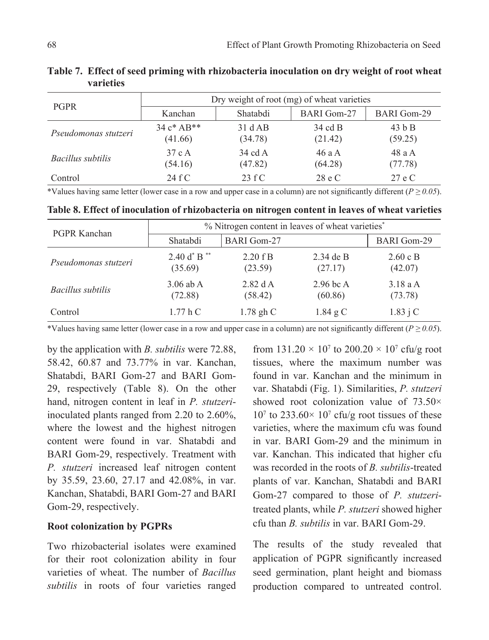| <b>PGPR</b>          | Dry weight of root (mg) of wheat varieties |                    |                    |                    |
|----------------------|--------------------------------------------|--------------------|--------------------|--------------------|
|                      | Kanchan                                    | Shatabdi           | <b>BARI</b> Gom-27 | <b>BARI</b> Gom-29 |
| Pseudomonas stutzeri | $34c*AP**$<br>(41.66)                      | 31 dAB<br>(34.78)  | 34 cd B<br>(21.42) | $43h$ B<br>(59.25) |
| Bacillus subtilis    | 37 c A<br>(54.16)                          | 34 cd A<br>(47.82) | 46 a A<br>(64.28)  | 48 a A<br>(77.78)  |
| Control              | 24 fC                                      | 23 fC              | 28 e C             | 27 e C             |

**Table 7. Effect of seed priming with rhizobacteria inoculation on dry weight of root wheat varieties**

\*Values having same letter (lower case in a row and upper case in a column) are not significantly different ( $P \ge 0.05$ ).

| PGPR Kanchan         | % Nitrogen content in leaves of wheat varieties <sup>*</sup> |                       |                      |                               |
|----------------------|--------------------------------------------------------------|-----------------------|----------------------|-------------------------------|
|                      | Shatabdi                                                     | BARI Gom-27           |                      | <b>BARI</b> Gom-29            |
| Pseudomonas stutzeri | 2.40 d <sup>*</sup> B <sup>**</sup><br>(35.69)               | $2.20$ f B<br>(23.59) | 2 34 de B<br>(27.17) | $2.60 \text{ c B}$<br>(42.07) |

2.82 d A (58.42)

**Table 8. Effect of inoculation of rhizobacteria on nitrogen content in leaves of wheat varieties** 

\*Values having same letter (lower case in a row and upper case in a column) are not significantly different (*P ≥ 0.05*).

Control 1.77 h C 1.78 gh C 1.84 g C 1.83 j C

by the application with *B. subtilis* were 72.88, 58.42, 60.87 and 73.77% in var. Kanchan, Shatabdi, BARI Gom-27 and BARI Gom-29, respectively (Table 8). On the other hand, nitrogen content in leaf in *P. stutzeri*inoculated plants ranged from 2.20 to 2.60%, where the lowest and the highest nitrogen content were found in var. Shatabdi and BARI Gom-29, respectively. Treatment with *P. stutzeri* increased leaf nitrogen content by 35.59, 23.60, 27.17 and 42.08%, in var. Kanchan, Shatabdi, BARI Gom-27 and BARI Gom-29, respectively.

*Bacillus subtilis* 3.06 ab A

(72.88)

### **Root colonization by PGPRs**

Two rhizobacterial isolates were examined for their root colonization ability in four varieties of wheat. The number of *Bacillus subtilis* in roots of four varieties ranged

from  $131.20 \times 10^7$  to  $200.20 \times 10^7$  cfu/g root tissues, where the maximum number was found in var. Kanchan and the minimum in var. Shatabdi (Fig. 1). Similarities, *P. stutzeri* showed root colonization value of 73.50×  $10<sup>7</sup>$  to 233.60 $\times$  10<sup>7</sup> cfu/g root tissues of these varieties, where the maximum cfu was found in var. BARI Gom-29 and the minimum in var. Kanchan. This indicated that higher cfu was recorded in the roots of *B. subtilis*-treated plants of var. Kanchan, Shatabdi and BARI Gom-27 compared to those of *P. stutzeri*treated plants, while *P. stutzeri* showed higher cfu than *B. subtilis* in var. BARI Gom-29.

2.96 bc A (60.86)

3.18 a A (73.78)

The results of the study revealed that application of PGPR significantly increased seed germination, plant height and biomass production compared to untreated control.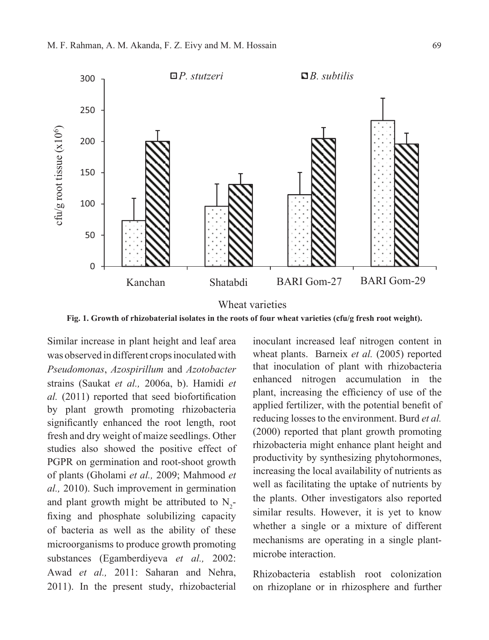

**Fig. 1. Growth of rhizobaterial isolates in the roots of four wheat varieties (cfu/g fresh root weight).** 

Similar increase in plant height and leaf area was observed in different crops inoculated with *Pseudomonas*, *Azospirillum* and *Azotobacter*  strains (Saukat *et al.,* 2006a, b). Hamidi *et al.* (2011) reported that seed biofortification by plant growth promoting rhizobacteria significantly enhanced the root length, root fresh and dry weight of maize seedlings. Other studies also showed the positive effect of PGPR on germination and root-shoot growth of plants (Gholami *et al.,* 2009; Mahmood *et al.,* 2010). Such improvement in germination and plant growth might be attributed to  $N_2$ fixing and phosphate solubilizing capacity of bacteria as well as the ability of these microorganisms to produce growth promoting substances (Egamberdiyeva *et al.,* 2002: Awad *et al.,* 2011: Saharan and Nehra, 2011). In the present study, rhizobacterial

inoculant increased leaf nitrogen content in wheat plants. Barneix *et al.* (2005) reported that inoculation of plant with rhizobacteria enhanced nitrogen accumulation in the plant, increasing the efficiency of use of the applied fertilizer, with the potential benefit of reducing losses to the environment. Burd *et al.* (2000) reported that plant growth promoting rhizobacteria might enhance plant height and productivity by synthesizing phytohormones, increasing the local availability of nutrients as well as facilitating the uptake of nutrients by the plants. Other investigators also reported similar results. However, it is yet to know whether a single or a mixture of different mechanisms are operating in a single plantmicrobe interaction.

Rhizobacteria establish root colonization on rhizoplane or in rhizosphere and further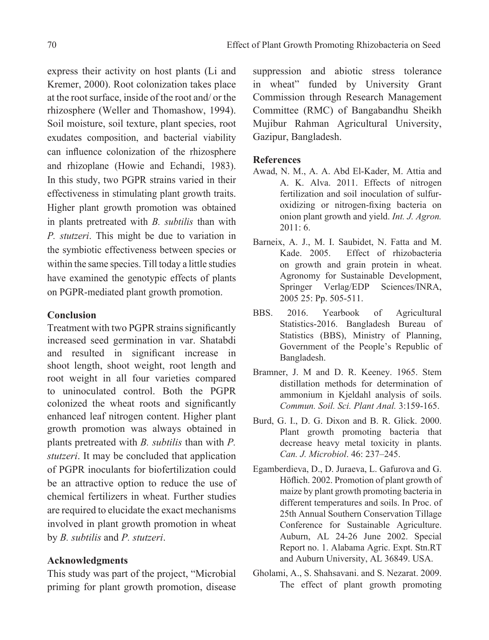express their activity on host plants (Li and Kremer, 2000). Root colonization takes place at the root surface, inside of the root and/ or the rhizosphere (Weller and Thomashow, 1994). Soil moisture, soil texture, plant species, root exudates composition, and bacterial viability can influence colonization of the rhizosphere and rhizoplane (Howie and Echandi, 1983). In this study, two PGPR strains varied in their effectiveness in stimulating plant growth traits. Higher plant growth promotion was obtained in plants pretreated with *B. subtilis* than with *P. stutzeri*. This might be due to variation in the symbiotic effectiveness between species or within the same species. Till today a little studies have examined the genotypic effects of plants on PGPR-mediated plant growth promotion.

### **Conclusion**

Treatment with two PGPR strains significantly increased seed germination in var. Shatabdi and resulted in significant increase in shoot length, shoot weight, root length and root weight in all four varieties compared to uninoculated control. Both the PGPR colonized the wheat roots and significantly enhanced leaf nitrogen content. Higher plant growth promotion was always obtained in plants pretreated with *B. subtilis* than with *P. stutzeri*. It may be concluded that application of PGPR inoculants for biofertilization could be an attractive option to reduce the use of chemical fertilizers in wheat. Further studies are required to elucidate the exact mechanisms involved in plant growth promotion in wheat by *B. subtilis* and *P. stutzeri*.

### **Acknowledgments**

This study was part of the project, "Microbial priming for plant growth promotion, disease suppression and abiotic stress tolerance in wheat" funded by University Grant Commission through Research Management Committee (RMC) of Bangabandhu Sheikh Mujibur Rahman Agricultural University, Gazipur, Bangladesh.

### **References**

- Awad, N. M., A. A. Abd El-Kader, M. Attia and A. K. Alva. 2011. Effects of nitrogen fertilization and soil inoculation of sulfuroxidizing or nitrogen-fixing bacteria on onion plant growth and yield. *Int. J. Agron.* 2011: 6.
- Barneix, A. J., M. I. Saubidet, N. Fatta and M. Kade. 2005. Effect of rhizobacteria on growth and grain protein in wheat. Agronomy for Sustainable Development, Springer Verlag/EDP Sciences/INRA, 2005 25: Pp. 505-511.
- BBS. 2016. Yearbook of Agricultural Statistics-2016. Bangladesh Bureau of Statistics (BBS), Ministry of Planning, Government of the People's Republic of Bangladesh.
- Bramner, J. M and D. R. Keeney. 1965. Stem distillation methods for determination of ammonium in Kjeldahl analysis of soils. *Commun. Soil. Sci. Plant Anal.* 3:159-165.
- Burd, G. I., D. G. Dixon and B. R. Glick. 2000. Plant growth promoting bacteria that decrease heavy metal toxicity in plants. *Can. J. Microbiol*. 46: 237–245.
- Egamberdieva, D., D. Juraeva, L. Gafurova and G. Höflich. 2002. Promotion of plant growth of maize by plant growth promoting bacteria in different temperatures and soils. In Proc. of 25th Annual Southern Conservation Tillage Conference for Sustainable Agriculture. Auburn, AL 24-26 June 2002. Special Report no. 1. Alabama Agric. Expt. Stn.RT and Auburn University, AL 36849. USA.
- Gholami, A., S. Shahsavani. and S. Nezarat. 2009. The effect of plant growth promoting